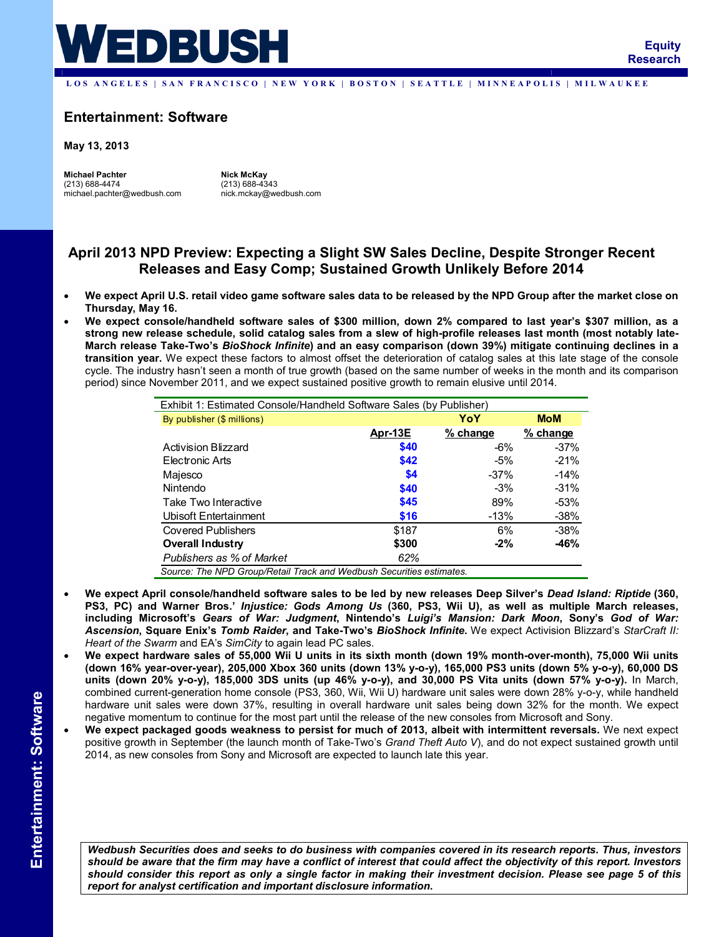

LOS ANGELES | SAN FRANCISCO | NEW YORK | BOSTON | SEATTLE | MINNEAPOLIS | MILWAUKEE

# **Entertainment: Software**

**May 13, 2013** 

**Michael Pachter**  (213) 688-4474 michael.pachter@wedbush.com

**Nick McKay**  (213) 688-4343 nick.mckay@wedbush.com

# **April 2013 NPD Preview: Expecting a Slight SW Sales Decline, Despite Stronger Recent Releases and Easy Comp; Sustained Growth Unlikely Before 2014**

- **We expect April U.S. retail video game software sales data to be released by the NPD Group after the market close on Thursday, May 16.**
- **We expect console/handheld software sales of \$300 million, down 2% compared to last year's \$307 million, as a strong new release schedule, solid catalog sales from a slew of high-profile releases last month (most notably late-March release Take-Two's** *BioShock Infinite***) and an easy comparison (down 39%) mitigate continuing declines in a transition year.** We expect these factors to almost offset the deterioration of catalog sales at this late stage of the console cycle. The industry hasn't seen a month of true growth (based on the same number of weeks in the month and its comparison period) since November 2011, and we expect sustained positive growth to remain elusive until 2014.

| Exhibit 1: Estimated Console/Handheld Software Sales (by Publisher)  |         |          |            |  |
|----------------------------------------------------------------------|---------|----------|------------|--|
| By publisher (\$ millions)                                           |         | YoY      | <b>MoM</b> |  |
|                                                                      | Apr-13E | % change | % change   |  |
| Activision Blizzard                                                  | \$40    | $-6%$    | $-37%$     |  |
| Electronic Arts                                                      | \$42    | $-5%$    | $-21%$     |  |
| Majesco                                                              | \$4     | $-37%$   | $-14%$     |  |
| Nintendo                                                             | \$40    | $-3%$    | $-31%$     |  |
| Take Two Interactive                                                 | \$45    | 89%      | $-53%$     |  |
| Ubisoft Entertainment                                                | \$16    | -13%     | $-38%$     |  |
| <b>Covered Publishers</b>                                            | \$187   | 6%       | $-38%$     |  |
| Overall Industry                                                     | \$300   | $-2\%$   | $-46%$     |  |
| Publishers as % of Market                                            | 62%     |          |            |  |
| Source: The NPD Group/Retail Track and Wedbush Securities estimates. |         |          |            |  |

- **We expect April console/handheld software sales to be led by new releases Deep Silver's** *Dead Island: Riptide* **(360, PS3, PC) and Warner Bros.'** *Injustice: Gods Among Us* **(360, PS3, Wii U), as well as multiple March releases, including Microsoft's** *Gears of War: Judgment***, Nintendo's** *Luigi's Mansion: Dark Moon***, Sony's** *God of War: Ascension***, Square Enix's** *Tomb Raider***, and Take-Two's** *BioShock Infinite***.** We expect Activision Blizzard's *StarCraft II: Heart of the Swarm* and EA's *SimCity* to again lead PC sales.
- **We expect hardware sales of 55,000 Wii U units in its sixth month (down 19% month-over-month), 75,000 Wii units (down 16% year-over-year), 205,000 Xbox 360 units (down 13% y-o-y), 165,000 PS3 units (down 5% y-o-y), 60,000 DS units (down 20% y-o-y), 185,000 3DS units (up 46% y-o-y), and 30,000 PS Vita units (down 57% y-o-y).** In March, combined current-generation home console (PS3, 360, Wii, Wii U) hardware unit sales were down 28% y-o-y, while handheld hardware unit sales were down 37%, resulting in overall hardware unit sales being down 32% for the month. We expect negative momentum to continue for the most part until the release of the new consoles from Microsoft and Sony.
- **We expect packaged goods weakness to persist for much of 2013, albeit with intermittent reversals.** We next expect positive growth in September (the launch month of Take-Two's *Grand Theft Auto V*), and do not expect sustained growth until 2014, as new consoles from Sony and Microsoft are expected to launch late this year.

*Wedbush Securities does and seeks to do business with companies covered in its research reports. Thus, investors should be aware that the firm may have a conflict of interest that could affect the objectivity of this report. Investors should consider this report as only a single factor in making their investment decision. Please see page 5 of this report for analyst certification and important disclosure information***.**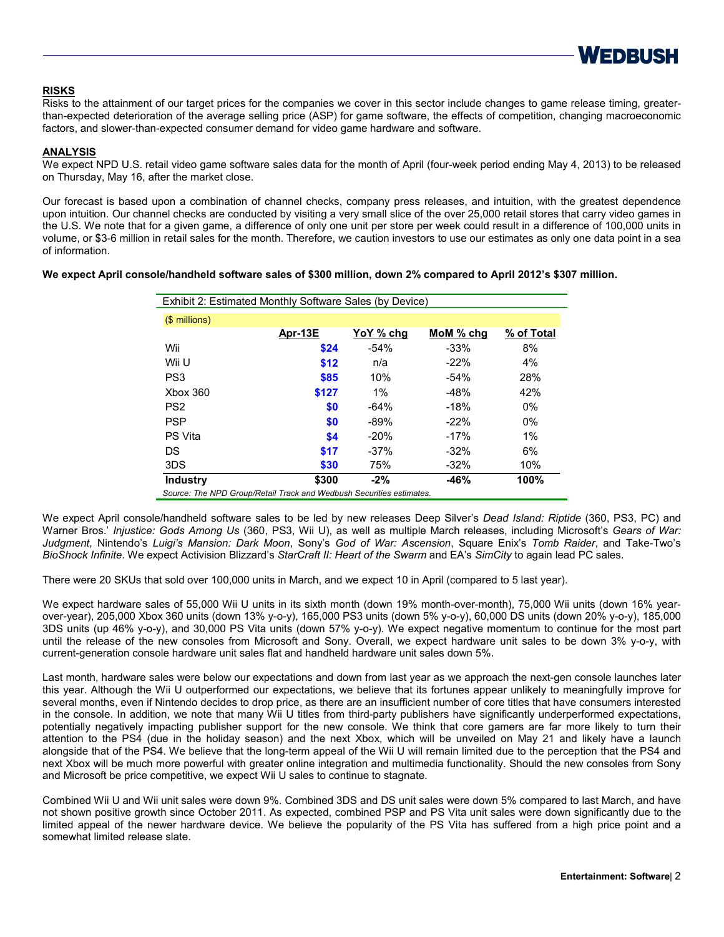

## **RISKS**

Risks to the attainment of our target prices for the companies we cover in this sector include changes to game release timing, greaterthan-expected deterioration of the average selling price (ASP) for game software, the effects of competition, changing macroeconomic factors, and slower-than-expected consumer demand for video game hardware and software.

## **ANALYSIS**

We expect NPD U.S. retail video game software sales data for the month of April (four-week period ending May 4, 2013) to be released on Thursday, May 16, after the market close.

Our forecast is based upon a combination of channel checks, company press releases, and intuition, with the greatest dependence upon intuition. Our channel checks are conducted by visiting a very small slice of the over 25,000 retail stores that carry video games in the U.S. We note that for a given game, a difference of only one unit per store per week could result in a difference of 100,000 units in volume, or \$3-6 million in retail sales for the month. Therefore, we caution investors to use our estimates as only one data point in a sea of information.

## **We expect April console/handheld software sales of \$300 million, down 2% compared to April 2012's \$307 million.**

| Exhibit 2: Estimated Monthly Software Sales (by Device)             |         |           |           |            |  |
|---------------------------------------------------------------------|---------|-----------|-----------|------------|--|
| (\$ millions)                                                       |         |           |           |            |  |
|                                                                     | Apr-13E | YoY % chg | MoM % chg | % of Total |  |
| Wii                                                                 | \$24    | $-54%$    | $-33%$    | 8%         |  |
| Wii U                                                               | \$12    | n/a       | $-22%$    | 4%         |  |
| PS <sub>3</sub>                                                     | \$85    | 10%       | $-54%$    | 28%        |  |
| Xbox 360                                                            | \$127   | $1\%$     | $-48%$    | 42%        |  |
| PS <sub>2</sub>                                                     | \$0     | $-64%$    | $-18%$    | $0\%$      |  |
| <b>PSP</b>                                                          | \$0     | $-89%$    | $-22%$    | $0\%$      |  |
| <b>PS Vita</b>                                                      | \$4     | $-20%$    | $-17%$    | 1%         |  |
| DS                                                                  | \$17    | $-37%$    | $-32%$    | 6%         |  |
| 3DS                                                                 | \$30    | 75%       | $-32\%$   | 10%        |  |
| <b>Industry</b>                                                     | \$300   | $-2\%$    | -46%      | 100%       |  |
| Source: The NPD Group/Petail Track and Wedbush Securities estimates |         |           |           |            |  |

*Source: The NPD Group/Retail Track and Wedbush Securities estimates.*

We expect April console/handheld software sales to be led by new releases Deep Silver's *Dead Island: Riptide* (360, PS3, PC) and Warner Bros.' *Injustice: Gods Among Us* (360, PS3, Wii U), as well as multiple March releases, including Microsoft's *Gears of War: Judgment*, Nintendo's *Luigi's Mansion: Dark Moon*, Sony's *God of War: Ascension*, Square Enix's *Tomb Raider*, and Take-Two's *BioShock Infinite*. We expect Activision Blizzard's *StarCraft II: Heart of the Swarm* and EA's *SimCity* to again lead PC sales.

There were 20 SKUs that sold over 100,000 units in March, and we expect 10 in April (compared to 5 last year).

We expect hardware sales of 55,000 Wii U units in its sixth month (down 19% month-over-month), 75,000 Wii units (down 16% yearover-year), 205,000 Xbox 360 units (down 13% y-o-y), 165,000 PS3 units (down 5% y-o-y), 60,000 DS units (down 20% y-o-y), 185,000 3DS units (up 46% y-o-y), and 30,000 PS Vita units (down 57% y-o-y). We expect negative momentum to continue for the most part until the release of the new consoles from Microsoft and Sony. Overall, we expect hardware unit sales to be down 3% y-o-y, with current-generation console hardware unit sales flat and handheld hardware unit sales down 5%.

Last month, hardware sales were below our expectations and down from last year as we approach the next-gen console launches later this year. Although the Wii U outperformed our expectations, we believe that its fortunes appear unlikely to meaningfully improve for several months, even if Nintendo decides to drop price, as there are an insufficient number of core titles that have consumers interested in the console. In addition, we note that many Wii U titles from third-party publishers have significantly underperformed expectations, potentially negatively impacting publisher support for the new console. We think that core gamers are far more likely to turn their attention to the PS4 (due in the holiday season) and the next Xbox, which will be unveiled on May 21 and likely have a launch alongside that of the PS4. We believe that the long-term appeal of the Wii U will remain limited due to the perception that the PS4 and next Xbox will be much more powerful with greater online integration and multimedia functionality. Should the new consoles from Sony and Microsoft be price competitive, we expect Wii U sales to continue to stagnate.

Combined Wii U and Wii unit sales were down 9%. Combined 3DS and DS unit sales were down 5% compared to last March, and have not shown positive growth since October 2011. As expected, combined PSP and PS Vita unit sales were down significantly due to the limited appeal of the newer hardware device. We believe the popularity of the PS Vita has suffered from a high price point and a somewhat limited release slate.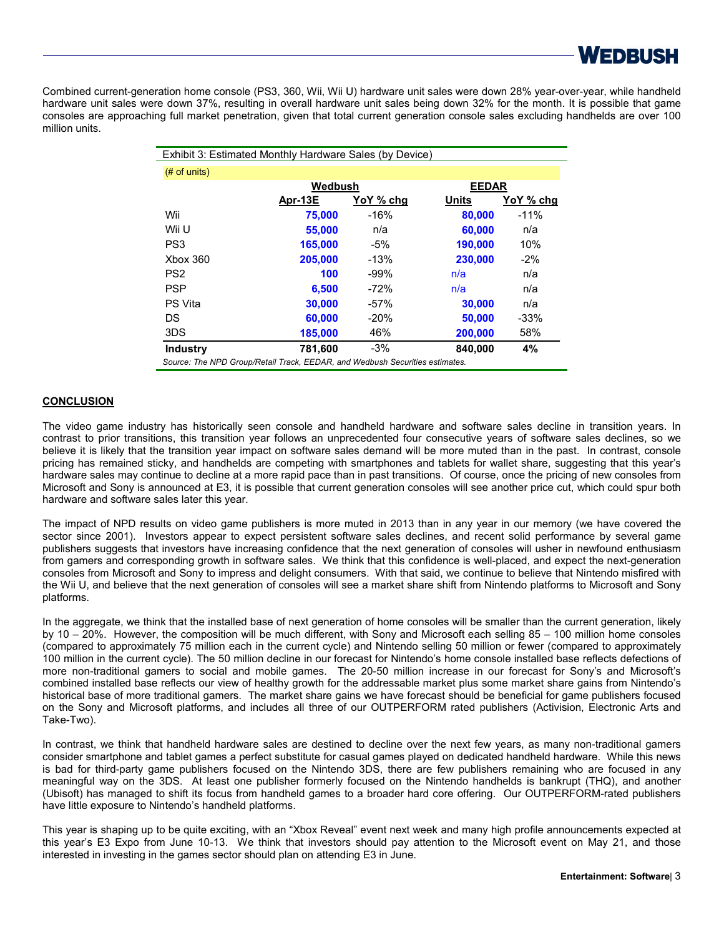

Combined current-generation home console (PS3, 360, Wii, Wii U) hardware unit sales were down 28% year-over-year, while handheld hardware unit sales were down 37%, resulting in overall hardware unit sales being down 32% for the month. It is possible that game consoles are approaching full market penetration, given that total current generation console sales excluding handhelds are over 100 million units.

| Exhibit 3: Estimated Monthly Hardware Sales (by Device)                      |                         |           |              |           |
|------------------------------------------------------------------------------|-------------------------|-----------|--------------|-----------|
| $#$ of units)                                                                |                         |           |              |           |
|                                                                              | Wedbush<br><b>EEDAR</b> |           |              |           |
|                                                                              | Apr-13E                 | YoY % chg | <b>Units</b> | YoY % chg |
| Wii                                                                          | 75,000                  | $-16%$    | 80,000       | $-11%$    |
| Wii U                                                                        | 55,000                  | n/a       | 60,000       | n/a       |
| PS <sub>3</sub>                                                              | 165.000                 | -5%       | 190.000      | 10%       |
| <b>Xbox 360</b>                                                              | 205.000                 | $-13%$    | 230.000      | $-2%$     |
| PS <sub>2</sub>                                                              | 100                     | $-99%$    | n/a          | n/a       |
| <b>PSP</b>                                                                   | 6.500                   | $-72%$    | n/a          | n/a       |
| PS Vita                                                                      | 30,000                  | $-57%$    | 30,000       | n/a       |
| DS                                                                           | 60.000                  | $-20%$    | 50,000       | $-33%$    |
| 3DS                                                                          | 185,000                 | 46%       | 200,000      | 58%       |
| <b>Industry</b>                                                              | 781,600                 | $-3%$     | 840,000      | 4%        |
| Source: The NPD Group/Retail Track, EEDAR, and Wedbush Securities estimates. |                         |           |              |           |

## **CONCLUSION**

The video game industry has historically seen console and handheld hardware and software sales decline in transition years. In contrast to prior transitions, this transition year follows an unprecedented four consecutive years of software sales declines, so we believe it is likely that the transition year impact on software sales demand will be more muted than in the past. In contrast, console pricing has remained sticky, and handhelds are competing with smartphones and tablets for wallet share, suggesting that this year's hardware sales may continue to decline at a more rapid pace than in past transitions. Of course, once the pricing of new consoles from Microsoft and Sony is announced at E3, it is possible that current generation consoles will see another price cut, which could spur both hardware and software sales later this year.

The impact of NPD results on video game publishers is more muted in 2013 than in any year in our memory (we have covered the sector since 2001). Investors appear to expect persistent software sales declines, and recent solid performance by several game publishers suggests that investors have increasing confidence that the next generation of consoles will usher in newfound enthusiasm from gamers and corresponding growth in software sales. We think that this confidence is well-placed, and expect the next-generation consoles from Microsoft and Sony to impress and delight consumers. With that said, we continue to believe that Nintendo misfired with the Wii U, and believe that the next generation of consoles will see a market share shift from Nintendo platforms to Microsoft and Sony platforms.

In the aggregate, we think that the installed base of next generation of home consoles will be smaller than the current generation, likely by 10 – 20%. However, the composition will be much different, with Sony and Microsoft each selling 85 – 100 million home consoles (compared to approximately 75 million each in the current cycle) and Nintendo selling 50 million or fewer (compared to approximately 100 million in the current cycle). The 50 million decline in our forecast for Nintendo's home console installed base reflects defections of more non-traditional gamers to social and mobile games. The 20-50 million increase in our forecast for Sony's and Microsoft's combined installed base reflects our view of healthy growth for the addressable market plus some market share gains from Nintendo's historical base of more traditional gamers. The market share gains we have forecast should be beneficial for game publishers focused on the Sony and Microsoft platforms, and includes all three of our OUTPERFORM rated publishers (Activision, Electronic Arts and Take-Two).

In contrast, we think that handheld hardware sales are destined to decline over the next few years, as many non-traditional gamers consider smartphone and tablet games a perfect substitute for casual games played on dedicated handheld hardware. While this news is bad for third-party game publishers focused on the Nintendo 3DS, there are few publishers remaining who are focused in any meaningful way on the 3DS. At least one publisher formerly focused on the Nintendo handhelds is bankrupt (THQ), and another (Ubisoft) has managed to shift its focus from handheld games to a broader hard core offering. Our OUTPERFORM-rated publishers have little exposure to Nintendo's handheld platforms.

This year is shaping up to be quite exciting, with an "Xbox Reveal" event next week and many high profile announcements expected at this year's E3 Expo from June 10-13. We think that investors should pay attention to the Microsoft event on May 21, and those interested in investing in the games sector should plan on attending E3 in June.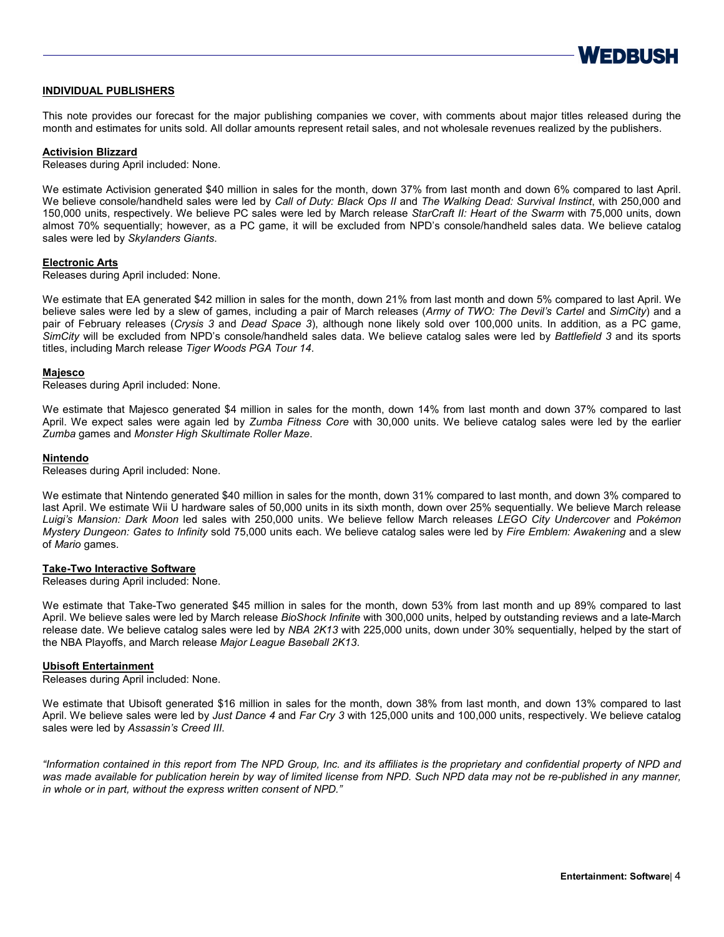

## **INDIVIDUAL PUBLISHERS**

This note provides our forecast for the major publishing companies we cover, with comments about major titles released during the month and estimates for units sold. All dollar amounts represent retail sales, and not wholesale revenues realized by the publishers.

### **Activision Blizzard**

Releases during April included: None.

We estimate Activision generated \$40 million in sales for the month, down 37% from last month and down 6% compared to last April. We believe console/handheld sales were led by *Call of Duty: Black Ops II* and *The Walking Dead: Survival Instinct*, with 250,000 and 150,000 units, respectively. We believe PC sales were led by March release *StarCraft II: Heart of the Swarm* with 75,000 units, down almost 70% sequentially; however, as a PC game, it will be excluded from NPD's console/handheld sales data. We believe catalog sales were led by *Skylanders Giants*.

### **Electronic Arts**

Releases during April included: None.

We estimate that EA generated \$42 million in sales for the month, down 21% from last month and down 5% compared to last April. We believe sales were led by a slew of games, including a pair of March releases (*Army of TWO: The Devil's Cartel* and *SimCity*) and a pair of February releases (*Crysis 3* and *Dead Space 3*), although none likely sold over 100,000 units. In addition, as a PC game, *SimCity* will be excluded from NPD's console/handheld sales data. We believe catalog sales were led by *Battlefield 3* and its sports titles, including March release *Tiger Woods PGA Tour 14*.

### **Majesco**

Releases during April included: None.

We estimate that Majesco generated \$4 million in sales for the month, down 14% from last month and down 37% compared to last April. We expect sales were again led by *Zumba Fitness Core* with 30,000 units. We believe catalog sales were led by the earlier *Zumba* games and *Monster High Skultimate Roller Maze*.

### **Nintendo**

Releases during April included: None.

We estimate that Nintendo generated \$40 million in sales for the month, down 31% compared to last month, and down 3% compared to last April. We estimate Wii U hardware sales of 50,000 units in its sixth month, down over 25% sequentially. We believe March release *Luigi's Mansion: Dark Moon* led sales with 250,000 units. We believe fellow March releases *LEGO City Undercover* and *Pokémon Mystery Dungeon: Gates to Infinity* sold 75,000 units each. We believe catalog sales were led by *Fire Emblem: Awakening* and a slew of *Mario* games.

## **Take-Two Interactive Software**

Releases during April included: None.

We estimate that Take-Two generated \$45 million in sales for the month, down 53% from last month and up 89% compared to last April. We believe sales were led by March release *BioShock Infinite* with 300,000 units, helped by outstanding reviews and a late-March release date. We believe catalog sales were led by *NBA 2K13* with 225,000 units, down under 30% sequentially, helped by the start of the NBA Playoffs, and March release *Major League Baseball 2K13*.

## **Ubisoft Entertainment**

Releases during April included: None.

We estimate that Ubisoft generated \$16 million in sales for the month, down 38% from last month, and down 13% compared to last April. We believe sales were led by *Just Dance 4* and *Far Cry 3* with 125,000 units and 100,000 units, respectively. We believe catalog sales were led by *Assassin's Creed III*.

*"Information contained in this report from The NPD Group, Inc. and its affiliates is the proprietary and confidential property of NPD and*  was made available for publication herein by way of limited license from NPD. Such NPD data may not be re-published in any manner, *in whole or in part, without the express written consent of NPD."*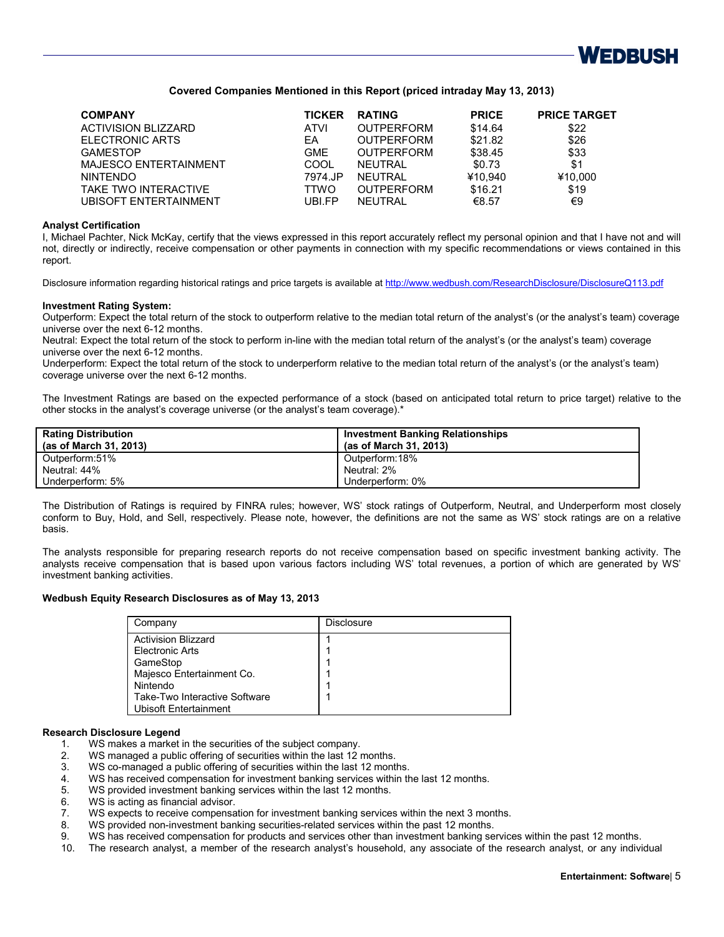

## **Covered Companies Mentioned in this Report (priced intraday May 13, 2013)**

| <b>COMPANY</b>               | <b>TICKER</b> | <b>RATING</b>     | <b>PRICE</b> | <b>PRICE TARGET</b> |
|------------------------------|---------------|-------------------|--------------|---------------------|
| <b>ACTIVISION BLIZZARD</b>   | ATVI          | <b>OUTPERFORM</b> | \$14.64      | \$22                |
| ELECTRONIC ARTS              | EA            | <b>OUTPERFORM</b> | \$21.82      | \$26                |
| <b>GAMESTOP</b>              | <b>GME</b>    | <b>OUTPERFORM</b> | \$38.45      | \$33                |
| <b>MAJESCO ENTERTAINMENT</b> | COOL          | NFUTRAI           | \$0.73       | \$1                 |
| <b>NINTENDO</b>              | 7974.JP       | NFUTRAI           | ¥10.940      | ¥10,000             |
| TAKE TWO INTERACTIVE         | TTWO          | <b>OUTPERFORM</b> | \$16.21      | \$19                |
| UBISOFT ENTERTAINMENT        | UBLEP         | <b>NEUTRAL</b>    | €8.57        | €9                  |

### **Analyst Certification**

I, Michael Pachter, Nick McKay, certify that the views expressed in this report accurately reflect my personal opinion and that I have not and will not, directly or indirectly, receive compensation or other payments in connection with my specific recommendations or views contained in this report.

Disclosure information regarding historical ratings and price targets is available at <http://www.wedbush.com/ResearchDisclosure/DisclosureQ113.pdf>

#### **Investment Rating System:**

Outperform: Expect the total return of the stock to outperform relative to the median total return of the analyst's (or the analyst's team) coverage universe over the next 6-12 months.

Neutral: Expect the total return of the stock to perform in-line with the median total return of the analyst's (or the analyst's team) coverage universe over the next 6-12 months.

Underperform: Expect the total return of the stock to underperform relative to the median total return of the analyst's (or the analyst's team) coverage universe over the next 6-12 months.

The Investment Ratings are based on the expected performance of a stock (based on anticipated total return to price target) relative to the other stocks in the analyst's coverage universe (or the analyst's team coverage).\*

| <b>Rating Distribution</b><br>(as of March 31, 2013) | <b>Investment Banking Relationships</b><br>(as of March 31, 2013) |
|------------------------------------------------------|-------------------------------------------------------------------|
| Outperform:51%                                       | Outperform:18%                                                    |
| Neutral: 44%                                         | Neutral 2%                                                        |
| Underperform: 5%                                     | Underperform: 0%                                                  |

The Distribution of Ratings is required by FINRA rules; however, WS' stock ratings of Outperform, Neutral, and Underperform most closely conform to Buy, Hold, and Sell, respectively. Please note, however, the definitions are not the same as WS' stock ratings are on a relative basis.

The analysts responsible for preparing research reports do not receive compensation based on specific investment banking activity. The analysts receive compensation that is based upon various factors including WS' total revenues, a portion of which are generated by WS' investment banking activities.

### **Wedbush Equity Research Disclosures as of May 13, 2013**

| Company                       | Disclosure |
|-------------------------------|------------|
| <b>Activision Blizzard</b>    |            |
| Electronic Arts               |            |
| GameStop                      |            |
| Majesco Entertainment Co.     |            |
| Nintendo                      |            |
| Take-Two Interactive Software |            |
| Ubisoft Entertainment         |            |

## **Research Disclosure Legend**

- 1. WS makes a market in the securities of the subject company.
- 2. WS managed a public offering of securities within the last 12 months.
- 3. WS co-managed a public offering of securities within the last 12 months.
- 4. WS has received compensation for investment banking services within the last 12 months.
- 5. WS provided investment banking services within the last 12 months.
- 6. WS is acting as financial advisor.
- 7. WS expects to receive compensation for investment banking services within the next 3 months.<br>8. WS provided non-investment banking securities-related services within the past 12 months.
- WS provided non-investment banking securities-related services within the past 12 months.
- 9. WS has received compensation for products and services other than investment banking services within the past 12 months.
- 10. The research analyst, a member of the research analyst's household, any associate of the research analyst, or any individual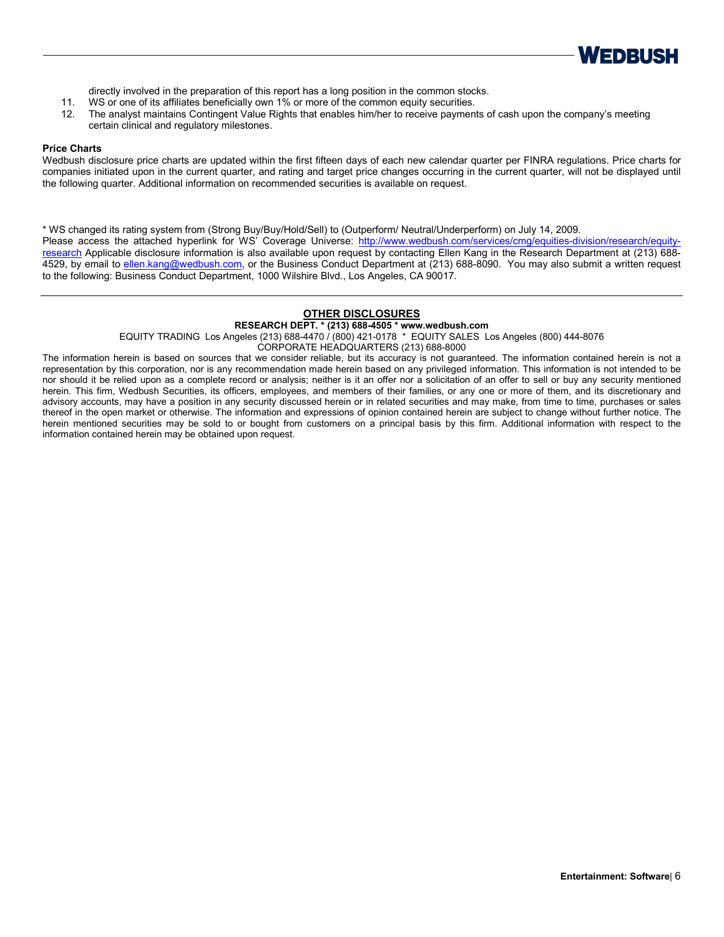

directly involved in the preparation of this report has a long position in the common stocks.

- 11. WS or one of its affiliates beneficially own 1% or more of the common equity securities.
- 12. The analyst maintains Contingent Value Rights that enables him/her to receive payments of cash upon the company's meeting certain clinical and regulatory milestones.

### **Price Charts**

Wedbush disclosure price charts are updated within the first fifteen days of each new calendar quarter per FINRA regulations. Price charts for companies initiated upon in the current quarter, and rating and target price changes occurring in the current quarter, will not be displayed until the following quarter. Additional information on recommended securities is available on request.

\* WS changed its rating system from (Strong Buy/Buy/Hold/Sell) to (Outperform/ Neutral/Underperform) on July 14, 2009. Please access the attached hyperlink for WS' Coverage Universe: [http://www.wedbush.com/services/cmg/equities-division/research/equity](http://www.wedbush.com/services/cmg/equities-division/research/equity-research)[research](http://www.wedbush.com/services/cmg/equities-division/research/equity-research) Applicable disclosure information is also available upon request by contacting Ellen Kang in the Research Department at (213) 688 4529, by email to [ellen.kang@wedbush.com,](mailto:ellen.kang@wedbush.com) or the Business Conduct Department at (213) 688-8090. You may also submit a written request to the following: Business Conduct Department, 1000 Wilshire Blvd., Los Angeles, CA 90017.

## **OTHER DISCLOSURES**

## **RESEARCH DEPT. \* (213) 688-4505 \* www.wedbush.com**

EQUITY TRADING Los Angeles (213) 688-4470 / (800) 421-0178 \* EQUITY SALES Los Angeles (800) 444-8076

CORPORATE HEADQUARTERS (213) 688-8000

The information herein is based on sources that we consider reliable, but its accuracy is not guaranteed. The information contained herein is not a representation by this corporation, nor is any recommendation made herein based on any privileged information. This information is not intended to be nor should it be relied upon as a complete record or analysis; neither is it an offer nor a solicitation of an offer to sell or buy any security mentioned herein. This firm, Wedbush Securities, its officers, employees, and members of their families, or any one or more of them, and its discretionary and advisory accounts, may have a position in any security discussed herein or in related securities and may make, from time to time, purchases or sales thereof in the open market or otherwise. The information and expressions of opinion contained herein are subject to change without further notice. The herein mentioned securities may be sold to or bought from customers on a principal basis by this firm. Additional information with respect to the information contained herein may be obtained upon request.